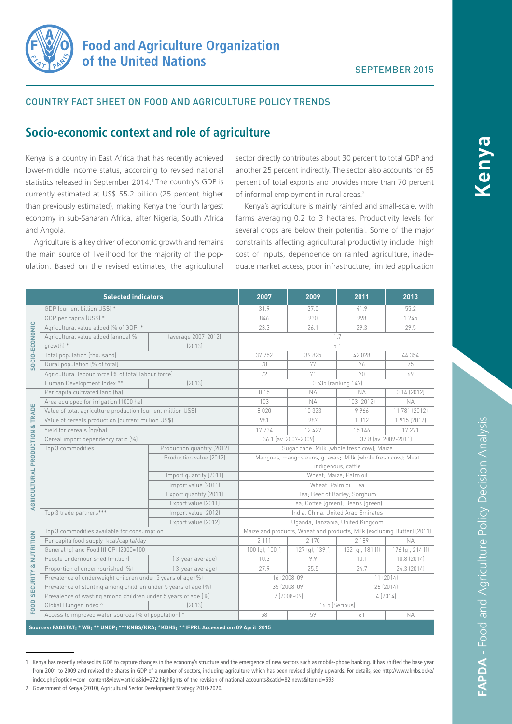

### COUNTRY FACT SHEET ON FOOD AND AGRICULTURE POLICY TRENDS

## **Socio-economic context and role of agriculture**

Kenya is a country in East Africa that has recently achieved lower-middle income status, according to revised national statistics released in September 2014.<sup>1</sup> The country's GDP is currently estimated at US\$ 55.2 billion (25 percent higher than previously estimated), making Kenya the fourth largest economy in sub-Saharan Africa, after Nigeria, South Africa and Angola.

Agriculture is a key driver of economic growth and remains the main source of livelihood for the majority of the population. Based on the revised estimates, the agricultural

sector directly contributes about 30 percent to total GDP and another 25 percent indirectly. The sector also accounts for 65 percent of total exports and provides more than 70 percent of informal employment in rural areas.<sup>2</sup>

Kenya's agriculture is mainly rainfed and small-scale, with farms averaging 0.2 to 3 hectares. Productivity levels for several crops are below their potential. Some of the major constraints affecting agricultural productivity include: high cost of inputs, dependence on rainfed agriculture, inadequate market access, poor infrastructure, limited application

| <b>Selected indicators</b>                                                               |                                                                |                            | 2007                                                                   | 2009            | 2011                 | 2013             |  |
|------------------------------------------------------------------------------------------|----------------------------------------------------------------|----------------------------|------------------------------------------------------------------------|-----------------|----------------------|------------------|--|
| SOCIO-ECONOMIC                                                                           | GDP (current billion US\$) *                                   |                            | 31.9                                                                   | 37.0            | 41.9                 | 55.2             |  |
|                                                                                          | GDP per capita (US\$) *                                        |                            | 846                                                                    | 930             | 998                  | 1 2 4 5          |  |
|                                                                                          | Agricultural value added (% of GDP) *                          |                            | 23.3                                                                   | 26.1            | 29.3                 | 29.5             |  |
|                                                                                          | Agricultural value added (annual %<br>growth) *                | (average 2007-2012)        |                                                                        |                 | 1.7                  |                  |  |
|                                                                                          |                                                                | [2013]                     | 5.1                                                                    |                 |                      |                  |  |
|                                                                                          | Total population (thousand)                                    |                            | 37 752                                                                 | 39 825          | 42 028               | 44 3 5 4         |  |
|                                                                                          | Rural population (% of total)                                  |                            | 78                                                                     | 77              | 76                   | 75               |  |
|                                                                                          | Agricultural labour force (% of total labour force)            |                            | 72                                                                     | 71              | 70                   | 69               |  |
|                                                                                          | Human Development Index **                                     | [2013]                     |                                                                        |                 | 0.535 (ranking 147)  |                  |  |
| AGRICULTURAL PRODUCTION & TRADE                                                          | Per capita cultivated land (ha)                                |                            | 0.15                                                                   | <b>NA</b>       | <b>NA</b>            | 0.14(2012)       |  |
|                                                                                          | Area equipped for irrigation (1000 ha)                         |                            | 103                                                                    | <b>NA</b>       | 103 (2012)           | <b>NA</b>        |  |
|                                                                                          | Value of total agriculture production (current million US\$)   |                            | 8020                                                                   | 10 323          | 9966                 | 11 781 (2012)    |  |
|                                                                                          | Value of cereals production (current million US\$)             |                            | 981                                                                    | 987             | 1312                 | 1 915 (2012)     |  |
|                                                                                          | Yield for cereals (hq/ha)                                      |                            | 17 734                                                                 | 12 4 2 7        | 15 146               | 17 271           |  |
|                                                                                          | Cereal import dependency ratio [%]                             |                            | 36.1 (av. 2007-2009)<br>37.8 (av. 2009-2011)                           |                 |                      |                  |  |
|                                                                                          | Top 3 commodities                                              | Production quantity (2012) | Sugar cane; Milk (whole fresh cow); Maize                              |                 |                      |                  |  |
|                                                                                          |                                                                | Production value (2012)    | Mangoes, mangosteens, guavas; Milk (whole fresh cow); Meat             |                 |                      |                  |  |
|                                                                                          |                                                                |                            | indigenous, cattle                                                     |                 |                      |                  |  |
|                                                                                          |                                                                | Import quantity (2011)     | Wheat: Maize: Palm oil                                                 |                 |                      |                  |  |
|                                                                                          |                                                                | Import value (2011)        | Wheat; Palm oil; Tea                                                   |                 |                      |                  |  |
|                                                                                          |                                                                | Export quantity (2011)     | Tea; Beer of Barley; Sorghum                                           |                 |                      |                  |  |
|                                                                                          |                                                                | Export value (2011)        | Tea; Coffee (green); Beans (green)                                     |                 |                      |                  |  |
|                                                                                          | Top 3 trade partners***                                        | Import value (2012)        | India, China, United Arab Emirates                                     |                 |                      |                  |  |
|                                                                                          | Export value (2012)                                            |                            | Uganda, Tanzania, United Kingdom                                       |                 |                      |                  |  |
| <b>SECURITY &amp; NUTRITION</b>                                                          | Top 3 commodities available for consumption                    |                            | Maize and products, Wheat and products, Milk (excluding Butter) (2011) |                 |                      |                  |  |
|                                                                                          | Per capita food supply (kcal/capita/day)                       |                            | 2 1 1 1                                                                | 2 1 7 0         | 2 189                | <b>NA</b>        |  |
|                                                                                          | General (g) and Food (f) CPI (2000=100)                        |                            | 100(q), 100(f)                                                         | 127 (g), 139(f) | $152$ (g), $181$ (f) | 176 (g), 214 (f) |  |
|                                                                                          | People undernourished (million)                                | (3-year average)           | 10.3                                                                   | 9.9             | 10.1                 | 10.8 (2014)      |  |
|                                                                                          | Proportion of undernourished [%]                               | [3-year average]           | 27.9                                                                   | 25.5            | 24.7                 | 24.3 (2014)      |  |
|                                                                                          | Prevalence of underweight children under 5 years of age (%)    |                            | 16 (2008-09)                                                           |                 | 11 (2014)            |                  |  |
| FOOD                                                                                     | Prevalence of stunting among children under 5 years of age [%] |                            | 35 (2008-09)                                                           |                 |                      | 26 (2014)        |  |
|                                                                                          | Prevalence of wasting among children under 5 years of age (%)  |                            | 4(2014)<br>7 (2008-09)                                                 |                 |                      |                  |  |
|                                                                                          | Global Hunger Index ^                                          | (2013)                     |                                                                        |                 | 16.5 (Serious)       |                  |  |
|                                                                                          | Access to improved water sources (% of population) *           |                            | 58                                                                     | 59              | 61                   | <b>NA</b>        |  |
| Sources: FAOSTAT; * WB; ** UNDP; ***KNBS/KRA; ^KDHS; ^^IFPRI. Accessed on: 09 April 2015 |                                                                |                            |                                                                        |                 |                      |                  |  |

<sup>1</sup> Kenya has recently rebased its GDP to capture changes in the economy's structure and the emergence of new sectors such as mobile-phone banking. It has shifted the base year from 2001 to 2009 and revised the shares in GDP of a number of sectors, including agriculture which has been revised slightly upwards. For details, see http://www.knbs.or.ke/ index.php?option=com\_content&view=article&id=272:highlights-of-the-revision-of-national-accounts&catid=82:news&Itemid=593

**Kenya**

<sup>2</sup> Government of Kenya (2010), Agricultural Sector Development Strategy 2010-2020.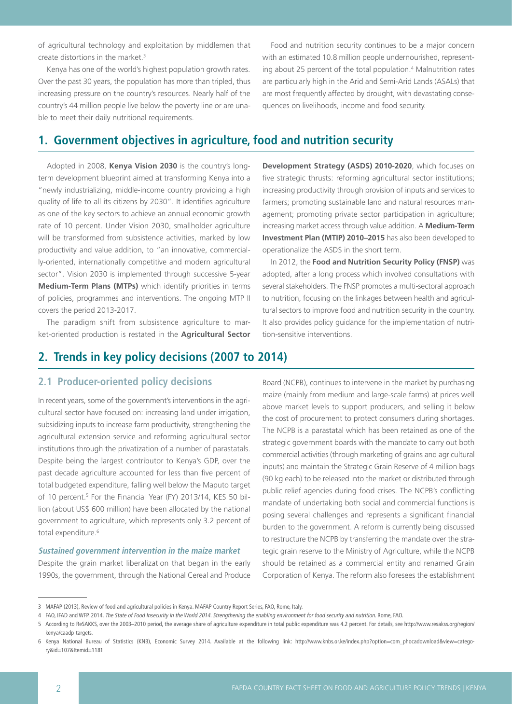of agricultural technology and exploitation by middlemen that create distortions in the market.3

Kenya has one of the world's highest population growth rates. Over the past 30 years, the population has more than tripled, thus increasing pressure on the country's resources. Nearly half of the country's 44 million people live below the poverty line or are unable to meet their daily nutritional requirements.

Food and nutrition security continues to be a major concern with an estimated 10.8 million people undernourished, representing about 25 percent of the total population.<sup>4</sup> Malnutrition rates are particularly high in the Arid and Semi-Arid Lands (ASALs) that are most frequently affected by drought, with devastating consequences on livelihoods, income and food security.

# **1. Government objectives in agriculture, food and nutrition security**

Adopted in 2008, **Kenya Vision 2030** is the country's longterm development blueprint aimed at transforming Kenya into a "newly industrializing, middle-income country providing a high quality of life to all its citizens by 2030". It identifies agriculture as one of the key sectors to achieve an annual economic growth rate of 10 percent. Under Vision 2030, smallholder agriculture will be transformed from subsistence activities, marked by low productivity and value addition, to "an innovative, commercially-oriented, internationally competitive and modern agricultural sector". Vision 2030 is implemented through successive 5-year **Medium-Term Plans (MTPs)** which identify priorities in terms of policies, programmes and interventions. The ongoing MTP II covers the period 2013-2017.

The paradigm shift from subsistence agriculture to market-oriented production is restated in the **Agricultural Sector** 

**Development Strategy (ASDS) 2010-2020**, which focuses on five strategic thrusts: reforming agricultural sector institutions; increasing productivity through provision of inputs and services to farmers; promoting sustainable land and natural resources management; promoting private sector participation in agriculture; increasing market access through value addition. A **Medium-Term Investment Plan (MTIP) 2010–2015** has also been developed to operationalize the ASDS in the short term.

In 2012, the **Food and Nutrition Security Policy (FNSP)** was adopted, after a long process which involved consultations with several stakeholders. The FNSP promotes a multi-sectoral approach to nutrition, focusing on the linkages between health and agricultural sectors to improve food and nutrition security in the country. It also provides policy guidance for the implementation of nutrition-sensitive interventions.

## **2. Trends in key policy decisions (2007 to 2014)**

## **2.1 Producer-oriented policy decisions**

In recent years, some of the government's interventions in the agricultural sector have focused on: increasing land under irrigation, subsidizing inputs to increase farm productivity, strengthening the agricultural extension service and reforming agricultural sector institutions through the privatization of a number of parastatals. Despite being the largest contributor to Kenya's GDP, over the past decade agriculture accounted for less than five percent of total budgeted expenditure, falling well below the Maputo target of 10 percent.<sup>5</sup> For the Financial Year (FY) 2013/14, KES 50 billion (about US\$ 600 million) have been allocated by the national government to agriculture, which represents only 3.2 percent of total expenditure.<sup>6</sup>

#### **Sustained government intervention in the maize market**

Despite the grain market liberalization that began in the early 1990s, the government, through the National Cereal and Produce

Board (NCPB), continues to intervene in the market by purchasing maize (mainly from medium and large-scale farms) at prices well above market levels to support producers, and selling it below the cost of procurement to protect consumers during shortages. The NCPB is a parastatal which has been retained as one of the strategic government boards with the mandate to carry out both commercial activities (through marketing of grains and agricultural inputs) and maintain the Strategic Grain Reserve of 4 million bags (90 kg each) to be released into the market or distributed through public relief agencies during food crises. The NCPB's conflicting mandate of undertaking both social and commercial functions is posing several challenges and represents a significant financial burden to the government. A reform is currently being discussed to restructure the NCPB by transferring the mandate over the strategic grain reserve to the Ministry of Agriculture, while the NCPB should be retained as a commercial entity and renamed Grain Corporation of Kenya. The reform also foresees the establishment

<sup>3</sup> MAFAP (2013), Review of food and agricultural policies in Kenya. MAFAP Country Report Series, FAO, Rome, Italy.

<sup>4</sup> FAO, IFAD and WFP. 2014. The State of Food Insecurity in the World 2014. Strengthening the enabling environment for food security and nutrition. Rome, FAO.

<sup>5</sup> According to ReSAKKS, over the 2003–2010 period, the average share of agriculture expenditure in total public expenditure was 4.2 percent. For details, see http://www.resakss.org/region/ kenya/caadp-targets.

<sup>6</sup> Kenya National Bureau of Statistics (KNB), Economic Survey 2014. Available at the following link: http://www.knbs.or.ke/index.php?option=com\_phocadownload&view=category&id=107&Itemid=1181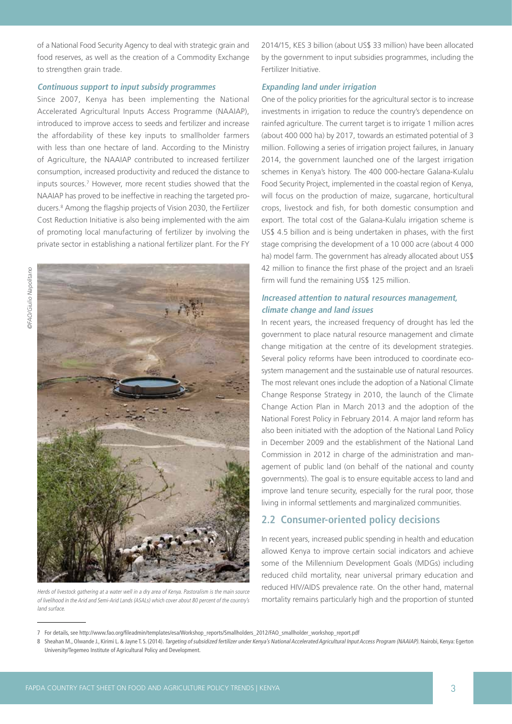of a National Food Security Agency to deal with strategic grain and food reserves, as well as the creation of a Commodity Exchange to strengthen grain trade.

### **Continuous support to input subsidy programmes**

Since 2007, Kenya has been implementing the National Accelerated Agricultural Inputs Access Programme (NAAIAP), introduced to improve access to seeds and fertilizer and increase the affordability of these key inputs to smallholder farmers with less than one hectare of land. According to the Ministry of Agriculture, the NAAIAP contributed to increased fertilizer consumption, increased productivity and reduced the distance to inputs sources.7 However, more recent studies showed that the NAAIAP has proved to be ineffective in reaching the targeted producers.8 Among the flagship projects of Vision 2030, the Fertilizer Cost Reduction Initiative is also being implemented with the aim of promoting local manufacturing of fertilizer by involving the private sector in establishing a national fertilizer plant. For the FY



Herds of livestock gathering at a water well in a dry area of Kenya. Pastoralism is the main source of livelihood in the Arid and Semi-Arid Lands (ASALs) which cover about 80 percent of the country's land surface.

2014/15, KES 3 billion (about US\$ 33 million) have been allocated by the government to input subsidies programmes, including the Fertilizer Initiative.

### **Expanding land under irrigation**

One of the policy priorities for the agricultural sector is to increase investments in irrigation to reduce the country's dependence on rainfed agriculture. The current target is to irrigate 1 million acres (about 400 000 ha) by 2017, towards an estimated potential of 3 million. Following a series of irrigation project failures, in January 2014, the government launched one of the largest irrigation schemes in Kenya's history. The 400 000-hectare Galana-Kulalu Food Security Project, implemented in the coastal region of Kenya, will focus on the production of maize, sugarcane, horticultural crops, livestock and fish, for both domestic consumption and export. The total cost of the Galana-Kulalu irrigation scheme is US\$ 4.5 billion and is being undertaken in phases, with the first stage comprising the development of a 10 000 acre (about 4 000 ha) model farm. The government has already allocated about US\$ 42 million to finance the first phase of the project and an Israeli firm will fund the remaining US\$ 125 million.

### **Increased attention to natural resources management, climate change and land issues**

In recent years, the increased frequency of drought has led the government to place natural resource management and climate change mitigation at the centre of its development strategies. Several policy reforms have been introduced to coordinate ecosystem management and the sustainable use of natural resources. The most relevant ones include the adoption of a National Climate Change Response Strategy in 2010, the launch of the Climate Change Action Plan in March 2013 and the adoption of the National Forest Policy in February 2014. A major land reform has also been initiated with the adoption of the National Land Policy in December 2009 and the establishment of the National Land Commission in 2012 in charge of the administration and management of public land (on behalf of the national and county governments). The goal is to ensure equitable access to land and improve land tenure security, especially for the rural poor, those living in informal settlements and marginalized communities.

## **2.2 Consumer-oriented policy decisions**

In recent years, increased public spending in health and education allowed Kenya to improve certain social indicators and achieve some of the Millennium Development Goals (MDGs) including reduced child mortality, near universal primary education and reduced HIV/AIDS prevalence rate. On the other hand, maternal mortality remains particularly high and the proportion of stunted

<sup>7</sup> For details, see http://www.fao.org/fileadmin/templates/esa/Workshop\_reports/Smallholders\_2012/FAO\_smallholder\_workshop\_report.pdf

<sup>8</sup> Sheahan M., Olwande J., Kirimi L. & Jayne T. S. (2014). Targeting of subsidized fertilizer under Kenya's National Accelerated Agricultural Input Access Program (NAAIAP). Nairobi, Kenya: Egerton University/Tegemeo Institute of Agricultural Policy and Development.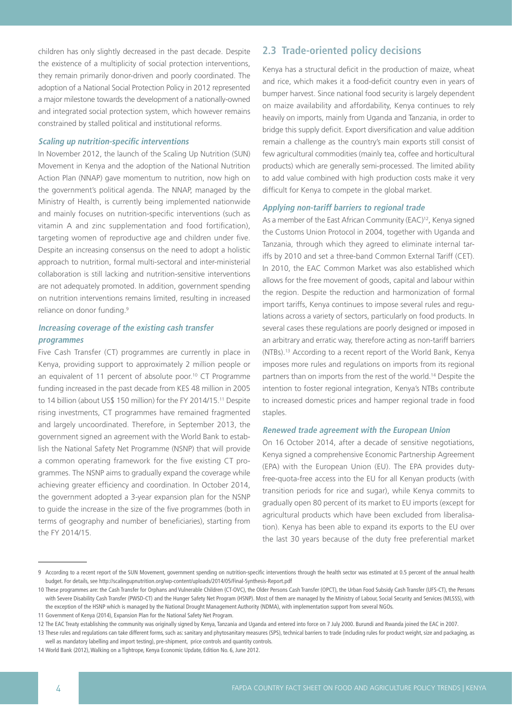children has only slightly decreased in the past decade. Despite the existence of a multiplicity of social protection interventions, they remain primarily donor-driven and poorly coordinated. The adoption of a National Social Protection Policy in 2012 represented a major milestone towards the development of a nationally-owned and integrated social protection system, which however remains constrained by stalled political and institutional reforms.

#### **Scaling up nutrition-specific interventions**

In November 2012, the launch of the Scaling Up Nutrition (SUN) Movement in Kenya and the adoption of the National Nutrition Action Plan (NNAP) gave momentum to nutrition, now high on the government's political agenda. The NNAP, managed by the Ministry of Health, is currently being implemented nationwide and mainly focuses on nutrition-specific interventions (such as vitamin A and zinc supplementation and food fortification), targeting women of reproductive age and children under five. Despite an increasing consensus on the need to adopt a holistic approach to nutrition, formal multi-sectoral and inter-ministerial collaboration is still lacking and nutrition-sensitive interventions are not adequately promoted. In addition, government spending on nutrition interventions remains limited, resulting in increased reliance on donor funding.<sup>9</sup>

### **Increasing coverage of the existing cash transfer programmes**

Five Cash Transfer (CT) programmes are currently in place in Kenya, providing support to approximately 2 million people or an equivalent of 11 percent of absolute poor.<sup>10</sup> CT Programme funding increased in the past decade from KES 48 million in 2005 to 14 billion (about US\$ 150 million) for the FY 2014/15.11 Despite rising investments, CT programmes have remained fragmented and largely uncoordinated. Therefore, in September 2013, the government signed an agreement with the World Bank to establish the National Safety Net Programme (NSNP) that will provide a common operating framework for the five existing CT programmes. The NSNP aims to gradually expand the coverage while achieving greater efficiency and coordination. In October 2014, the government adopted a 3-year expansion plan for the NSNP to guide the increase in the size of the five programmes (both in terms of geography and number of beneficiaries), starting from the FY 2014/15.

## **2.3 Trade-oriented policy decisions**

Kenya has a structural deficit in the production of maize, wheat and rice, which makes it a food-deficit country even in years of bumper harvest. Since national food security is largely dependent on maize availability and affordability, Kenya continues to rely heavily on imports, mainly from Uganda and Tanzania, in order to bridge this supply deficit. Export diversification and value addition remain a challenge as the country's main exports still consist of few agricultural commodities (mainly tea, coffee and horticultural products) which are generally semi-processed. The limited ability to add value combined with high production costs make it very difficult for Kenya to compete in the global market.

#### **Applying non-tariff barriers to regional trade**

As a member of the East African Community (EAC)<sup>12</sup>, Kenya signed the Customs Union Protocol in 2004, together with Uganda and Tanzania, through which they agreed to eliminate internal tariffs by 2010 and set a three-band Common External Tariff (CET). In 2010, the EAC Common Market was also established which allows for the free movement of goods, capital and labour within the region. Despite the reduction and harmonization of formal import tariffs, Kenya continues to impose several rules and regulations across a variety of sectors, particularly on food products. In several cases these regulations are poorly designed or imposed in an arbitrary and erratic way, therefore acting as non-tariff barriers (NTBs).13 According to a recent report of the World Bank, Kenya imposes more rules and regulations on imports from its regional partners than on imports from the rest of the world.14 Despite the intention to foster regional integration, Kenya's NTBs contribute to increased domestic prices and hamper regional trade in food staples.

#### **Renewed trade agreement with the European Union**

On 16 October 2014, after a decade of sensitive negotiations, Kenya signed a comprehensive Economic Partnership Agreement (EPA) with the European Union (EU). The EPA provides dutyfree-quota-free access into the EU for all Kenyan products (with transition periods for rice and sugar), while Kenya commits to gradually open 80 percent of its market to EU imports (except for agricultural products which have been excluded from liberalisation). Kenya has been able to expand its exports to the EU over the last 30 years because of the duty free preferential market

<sup>9</sup> According to a recent report of the SUN Movement, government spending on nutrition-specific interventions through the health sector was estimated at 0.5 percent of the annual health budget. For details, see<http://scalingupnutrition.org/wp-content/uploads/2014/05/Final-Synthesis-Report.pdf>

<sup>10</sup> These programmes are: the Cash Transfer for Orphans and Vulnerable Children (CT-OVC), the Older Persons Cash Transfer (OPCT), the Urban Food Subsidy Cash Transfer (UFS-CT), the Persons with Severe Disability Cash Transfer (PWSD-CT) and the Hunger Safety Net Program (HSNP). Most of them are managed by the Ministry of Labour, Social Security and Services (MLSSS), with the exception of the HSNP which is managed by the National Drought Management Authority (NDMA), with implementation support from several NGOs.

<sup>11</sup> Government of Kenya (2014), Expansion Plan for the National Safety Net Program.

<sup>12</sup> The EAC Treaty establishing the community was originally signed by Kenya, Tanzania and Uganda and entered into force on 7 July 2000. Burundi and Rwanda joined the EAC in 2007.

<sup>13</sup> These rules and regulations can take different forms, such as: sanitary and phytosanitary measures (SPS), technical barriers to trade (including rules for product weight, size and packaging, as well as mandatory labelling and import testing), pre-shipment, price controls and quantity controls.

<sup>14</sup> World Bank (2012), Walking on a Tightrope, Kenya Economic Update, Edition No. 6, June 2012.